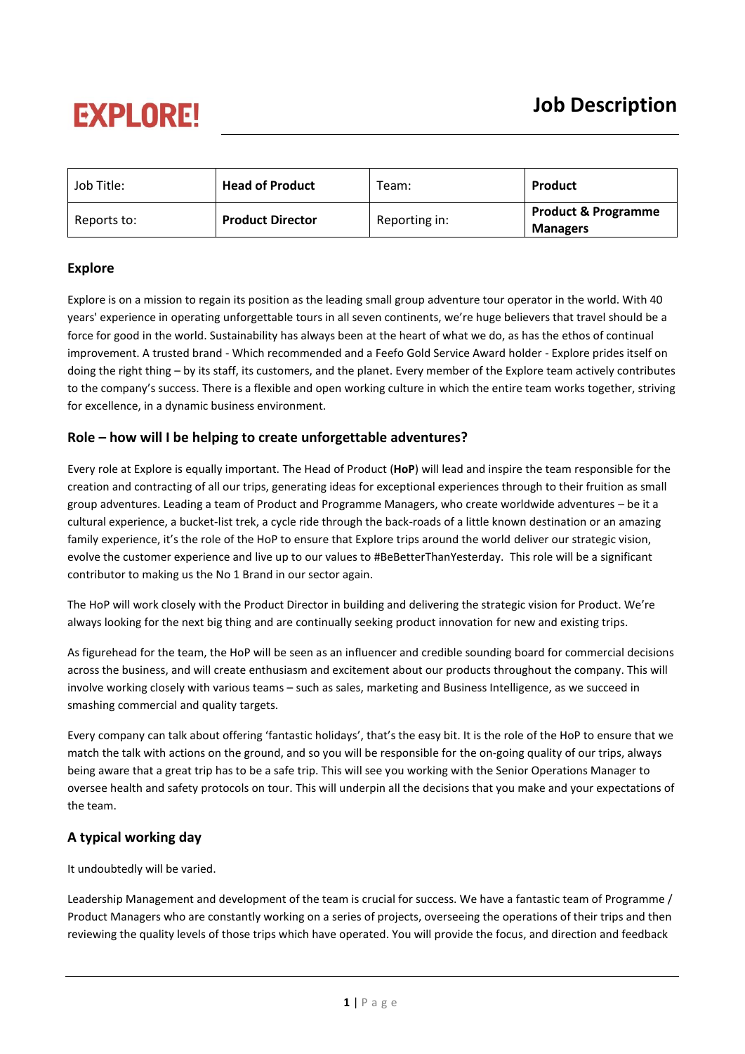# **EXPLORE!**

| Job Title:  | <b>Head of Product</b>  | Team:         | Product                                           |
|-------------|-------------------------|---------------|---------------------------------------------------|
| Reports to: | <b>Product Director</b> | Reporting in: | <b>Product &amp; Programme</b><br><b>Managers</b> |

# **Explore**

Explore is on a mission to regain its position as the leading small group adventure tour operator in the world. With 40 years' experience in operating unforgettable tours in all seven continents, we're huge believers that travel should be a force for good in the world. Sustainability has always been at the heart of what we do, as has the ethos of continual improvement. A trusted brand - Which recommended and a Feefo Gold Service Award holder - Explore prides itself on doing the right thing – by its staff, its customers, and the planet. Every member of the Explore team actively contributes to the company's success. There is a flexible and open working culture in which the entire team works together, striving for excellence, in a dynamic business environment.

## **Role – how will I be helping to create unforgettable adventures?**

Every role at Explore is equally important. The Head of Product (**HoP**) will lead and inspire the team responsible for the creation and contracting of all our trips, generating ideas for exceptional experiences through to their fruition as small group adventures. Leading a team of Product and Programme Managers, who create worldwide adventures – be it a cultural experience, a bucket-list trek, a cycle ride through the back-roads of a little known destination or an amazing family experience, it's the role of the HoP to ensure that Explore trips around the world deliver our strategic vision, evolve the customer experience and live up to our values to #BeBetterThanYesterday. This role will be a significant contributor to making us the No 1 Brand in our sector again.

The HoP will work closely with the Product Director in building and delivering the strategic vision for Product. We're always looking for the next big thing and are continually seeking product innovation for new and existing trips.

As figurehead for the team, the HoP will be seen as an influencer and credible sounding board for commercial decisions across the business, and will create enthusiasm and excitement about our products throughout the company. This will involve working closely with various teams – such as sales, marketing and Business Intelligence, as we succeed in smashing commercial and quality targets.

Every company can talk about offering 'fantastic holidays', that's the easy bit. It is the role of the HoP to ensure that we match the talk with actions on the ground, and so you will be responsible for the on-going quality of our trips, always being aware that a great trip has to be a safe trip. This will see you working with the Senior Operations Manager to oversee health and safety protocols on tour. This will underpin all the decisions that you make and your expectations of the team.

# **A typical working day**

It undoubtedly will be varied.

Leadership Management and development of the team is crucial for success. We have a fantastic team of Programme / Product Managers who are constantly working on a series of projects, overseeing the operations of their trips and then reviewing the quality levels of those trips which have operated. You will provide the focus, and direction and feedback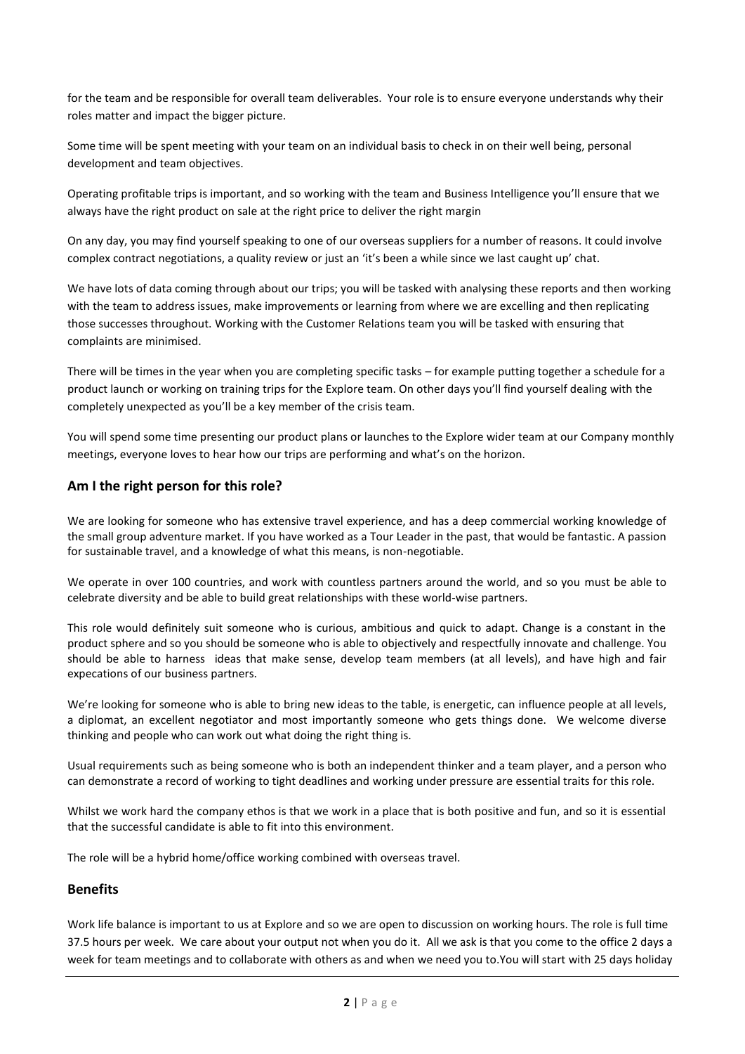for the team and be responsible for overall team deliverables. Your role is to ensure everyone understands why their roles matter and impact the bigger picture.

Some time will be spent meeting with your team on an individual basis to check in on their well being, personal development and team objectives.

Operating profitable trips is important, and so working with the team and Business Intelligence you'll ensure that we always have the right product on sale at the right price to deliver the right margin

On any day, you may find yourself speaking to one of our overseas suppliers for a number of reasons. It could involve complex contract negotiations, a quality review or just an 'it's been a while since we last caught up' chat.

We have lots of data coming through about our trips; you will be tasked with analysing these reports and then working with the team to address issues, make improvements or learning from where we are excelling and then replicating those successes throughout. Working with the Customer Relations team you will be tasked with ensuring that complaints are minimised.

There will be times in the year when you are completing specific tasks – for example putting together a schedule for a product launch or working on training trips for the Explore team. On other days you'll find yourself dealing with the completely unexpected as you'll be a key member of the crisis team.

You will spend some time presenting our product plans or launches to the Explore wider team at our Company monthly meetings, everyone loves to hear how our trips are performing and what's on the horizon.

### **Am I the right person for this role?**

We are looking for someone who has extensive travel experience, and has a deep commercial working knowledge of the small group adventure market. If you have worked as a Tour Leader in the past, that would be fantastic. A passion for sustainable travel, and a knowledge of what this means, is non-negotiable.

We operate in over 100 countries, and work with countless partners around the world, and so you must be able to celebrate diversity and be able to build great relationships with these world-wise partners.

This role would definitely suit someone who is curious, ambitious and quick to adapt. Change is a constant in the product sphere and so you should be someone who is able to objectively and respectfully innovate and challenge. You should be able to harness ideas that make sense, develop team members (at all levels), and have high and fair expecations of our business partners.

We're looking for someone who is able to bring new ideas to the table, is energetic, can influence people at all levels, a diplomat, an excellent negotiator and most importantly someone who gets things done. We welcome diverse thinking and people who can work out what doing the right thing is.

Usual requirements such as being someone who is both an independent thinker and a team player, and a person who can demonstrate a record of working to tight deadlines and working under pressure are essential traits for this role.

Whilst we work hard the company ethos is that we work in a place that is both positive and fun, and so it is essential that the successful candidate is able to fit into this environment.

The role will be a hybrid home/office working combined with overseas travel.

#### **Benefits**

Work life balance is important to us at Explore and so we are open to discussion on working hours. The role is full time 37.5 hours per week. We care about your output not when you do it. All we ask is that you come to the office 2 days a week for team meetings and to collaborate with others as and when we need you to.You will start with 25 days holiday